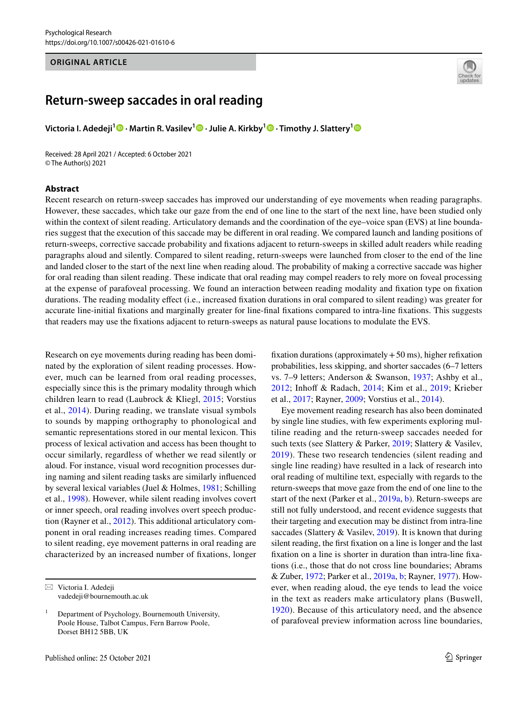#### **ORIGINAL ARTICLE**



# **Return‑sweep saccades in oral reading**

**Victoria I. Adedeji[1](http://orcid.org/0000-0001-8031-0815) · Martin R. Vasilev[1](http://orcid.org/0000-0003-1944-8828) · Julie A. Kirkby<sup>1</sup> · Timothy J. Slattery[1](http://orcid.org/0000-0002-2652-289X)**

Received: 28 April 2021 / Accepted: 6 October 2021 © The Author(s) 2021

#### **Abstract**

Recent research on return-sweep saccades has improved our understanding of eye movements when reading paragraphs. However, these saccades, which take our gaze from the end of one line to the start of the next line, have been studied only within the context of silent reading. Articulatory demands and the coordination of the eye–voice span (EVS) at line boundaries suggest that the execution of this saccade may be diferent in oral reading. We compared launch and landing positions of return-sweeps, corrective saccade probability and fxations adjacent to return-sweeps in skilled adult readers while reading paragraphs aloud and silently. Compared to silent reading, return-sweeps were launched from closer to the end of the line and landed closer to the start of the next line when reading aloud. The probability of making a corrective saccade was higher for oral reading than silent reading. These indicate that oral reading may compel readers to rely more on foveal processing at the expense of parafoveal processing. We found an interaction between reading modality and fxation type on fxation durations. The reading modality efect (i.e., increased fxation durations in oral compared to silent reading) was greater for accurate line-initial fxations and marginally greater for line-fnal fxations compared to intra-line fxations. This suggests that readers may use the fxations adjacent to return-sweeps as natural pause locations to modulate the EVS.

Research on eye movements during reading has been dominated by the exploration of silent reading processes. However, much can be learned from oral reading processes, especially since this is the primary modality through which children learn to read (Laubrock & Kliegl, [2015;](#page-10-0) Vorstius et al., [2014](#page-11-0)). During reading, we translate visual symbols to sounds by mapping orthography to phonological and semantic representations stored in our mental lexicon. This process of lexical activation and access has been thought to occur similarly, regardless of whether we read silently or aloud. For instance, visual word recognition processes during naming and silent reading tasks are similarly infuenced by several lexical variables (Juel & Holmes, [1981](#page-10-1); Schilling et al., [1998](#page-11-1)). However, while silent reading involves covert or inner speech, oral reading involves overt speech production (Rayner et al., [2012\)](#page-10-2). This additional articulatory component in oral reading increases reading times. Compared to silent reading, eye movement patterns in oral reading are characterized by an increased number of fxations, longer fixation durations (approximately  $+50$  ms), higher refixation probabilities, less skipping, and shorter saccades (6–7 letters vs. 7–9 letters; Anderson & Swanson, [1937](#page-9-0); Ashby et al., [2012;](#page-9-1) Inhoff & Radach, [2014;](#page-10-3) Kim et al., [2019](#page-10-4); Krieber et al., [2017;](#page-10-5) Rayner, [2009;](#page-10-6) Vorstius et al., [2014\)](#page-11-0).

Eye movement reading research has also been dominated by single line studies, with few experiments exploring multiline reading and the return-sweep saccades needed for such texts (see Slattery & Parker, [2019;](#page-11-2) Slattery & Vasilev, [2019\)](#page-11-3). These two research tendencies (silent reading and single line reading) have resulted in a lack of research into oral reading of multiline text, especially with regards to the return-sweeps that move gaze from the end of one line to the start of the next (Parker et al., [2019a,](#page-10-7) [b\)](#page-10-8). Return-sweeps are still not fully understood, and recent evidence suggests that their targeting and execution may be distinct from intra-line saccades (Slattery & Vasilev, [2019](#page-11-3)). It is known that during silent reading, the frst fxation on a line is longer and the last fxation on a line is shorter in duration than intra-line fxations (i.e., those that do not cross line boundaries; Abrams & Zuber, [1972;](#page-9-2) Parker et al., [2019a,](#page-10-7) [b;](#page-10-8) Rayner, [1977\)](#page-10-9). However, when reading aloud, the eye tends to lead the voice in the text as readers make articulatory plans (Buswell, [1920\)](#page-9-3). Because of this articulatory need, and the absence of parafoveal preview information across line boundaries,

 $\boxtimes$  Victoria I. Adedeji vadedeji@bournemouth.ac.uk

<sup>1</sup> Department of Psychology, Bournemouth University, Poole House, Talbot Campus, Fern Barrow Poole, Dorset BH12 5BB, UK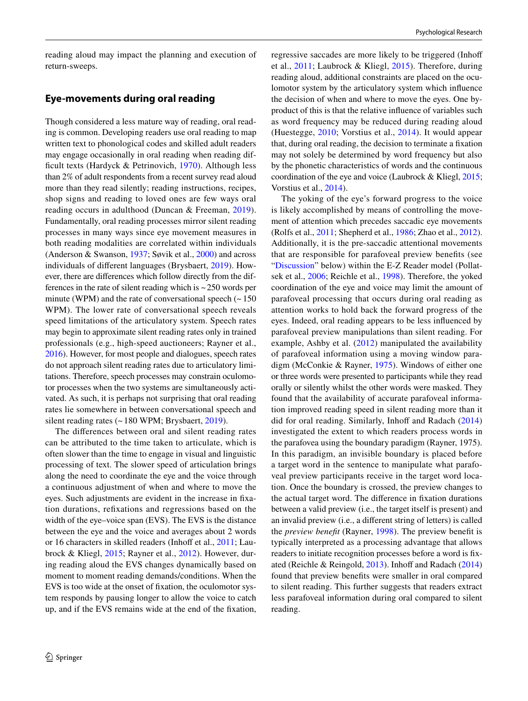reading aloud may impact the planning and execution of return-sweeps.

## **Eye‑movements during oral reading**

Though considered a less mature way of reading, oral reading is common. Developing readers use oral reading to map written text to phonological codes and skilled adult readers may engage occasionally in oral reading when reading difficult texts (Hardyck  $&$  Petrinovich, [1970\)](#page-10-10). Although less than 2% of adult respondents from a recent survey read aloud more than they read silently; reading instructions, recipes, shop signs and reading to loved ones are few ways oral reading occurs in adulthood (Duncan & Freeman, [2019](#page-9-4)). Fundamentally, oral reading processes mirror silent reading processes in many ways since eye movement measures in both reading modalities are correlated within individuals (Anderson & Swanson, [1937;](#page-9-0) Søvik et al., [2000\)](#page-11-4) and across individuals of diferent languages (Brysbaert, [2019](#page-9-5)). However, there are diferences which follow directly from the differences in the rate of silent reading which is  $\sim$  250 words per minute (WPM) and the rate of conversational speech  $($   $\sim$  150 WPM). The lower rate of conversational speech reveals speed limitations of the articulatory system. Speech rates may begin to approximate silent reading rates only in trained professionals (e.g., high-speed auctioneers; Rayner et al., [2016\)](#page-11-5). However, for most people and dialogues, speech rates do not approach silent reading rates due to articulatory limitations. Therefore, speech processes may constrain oculomotor processes when the two systems are simultaneously activated. As such, it is perhaps not surprising that oral reading rates lie somewhere in between conversational speech and silent reading rates (~180 WPM; Brysbaert, [2019\)](#page-9-5).

The diferences between oral and silent reading rates can be attributed to the time taken to articulate, which is often slower than the time to engage in visual and linguistic processing of text. The slower speed of articulation brings along the need to coordinate the eye and the voice through a continuous adjustment of when and where to move the eyes. Such adjustments are evident in the increase in fxation durations, refxations and regressions based on the width of the eye–voice span (EVS). The EVS is the distance between the eye and the voice and averages about 2 words or 16 characters in skilled readers (Inhoff et al., [2011;](#page-10-11) Laubrock & Kliegl, [2015;](#page-10-0) Rayner et al., [2012](#page-10-2)). However, during reading aloud the EVS changes dynamically based on moment to moment reading demands/conditions. When the EVS is too wide at the onset of fxation, the oculomotor system responds by pausing longer to allow the voice to catch up, and if the EVS remains wide at the end of the fxation, regressive saccades are more likely to be triggered (Inhof et al., [2011](#page-10-11); Laubrock & Kliegl, [2015\)](#page-10-0). Therefore, during reading aloud, additional constraints are placed on the oculomotor system by the articulatory system which infuence the decision of when and where to move the eyes. One byproduct of this is that the relative infuence of variables such as word frequency may be reduced during reading aloud (Huestegge, [2010](#page-10-12); Vorstius et al., [2014\)](#page-11-0). It would appear that, during oral reading, the decision to terminate a fxation may not solely be determined by word frequency but also by the phonetic characteristics of words and the continuous coordination of the eye and voice (Laubrock & Kliegl, [2015](#page-10-0); Vorstius et al., [2014\)](#page-11-0).

The yoking of the eye's forward progress to the voice is likely accomplished by means of controlling the movement of attention which precedes saccadic eye movements (Rolfs et al., [2011](#page-11-6); Shepherd et al., [1986](#page-11-7); Zhao et al., [2012](#page-11-8)). Additionally, it is the pre-saccadic attentional movements that are responsible for parafoveal preview benefts (see "[Discussion](#page-7-0)" below) within the E-Z Reader model (Pollatsek et al., [2006](#page-10-13); Reichle et al., [1998](#page-11-9)). Therefore, the yoked coordination of the eye and voice may limit the amount of parafoveal processing that occurs during oral reading as attention works to hold back the forward progress of the eyes. Indeed, oral reading appears to be less infuenced by parafoveal preview manipulations than silent reading. For example, Ashby et al. [\(2012\)](#page-9-1) manipulated the availability of parafoveal information using a moving window paradigm (McConkie & Rayner, [1975](#page-10-14)). Windows of either one or three words were presented to participants while they read orally or silently whilst the other words were masked. They found that the availability of accurate parafoveal information improved reading speed in silent reading more than it did for oral reading. Similarly, Inhoff and Radach  $(2014)$ investigated the extent to which readers process words in the parafovea using the boundary paradigm (Rayner, 1975). In this paradigm, an invisible boundary is placed before a target word in the sentence to manipulate what parafoveal preview participants receive in the target word location. Once the boundary is crossed, the preview changes to the actual target word. The diference in fxation durations between a valid preview (i.e., the target itself is present) and an invalid preview (i.e., a diferent string of letters) is called the *preview beneft* (Rayner, [1998](#page-10-15)). The preview beneft is typically interpreted as a processing advantage that allows readers to initiate recognition processes before a word is fxated (Reichle & Reingold,  $2013$ ). Inhoff and Radach  $(2014)$  $(2014)$ found that preview benefts were smaller in oral compared to silent reading. This further suggests that readers extract less parafoveal information during oral compared to silent reading.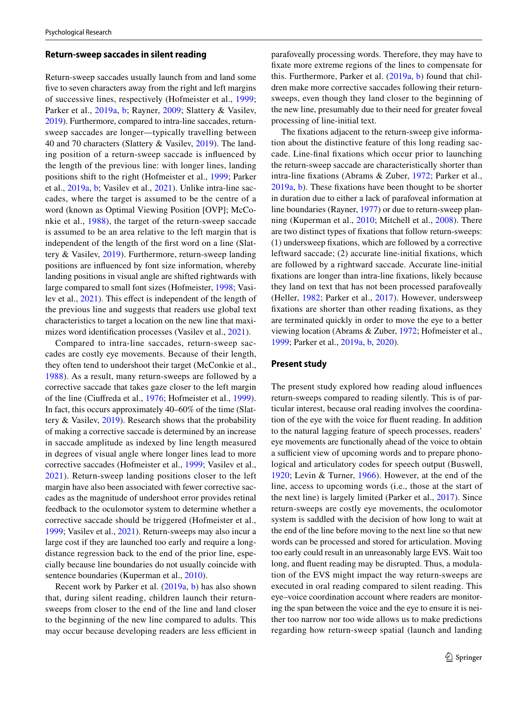#### **Return‑sweep saccades in silent reading**

Return-sweep saccades usually launch from and land some fve to seven characters away from the right and left margins of successive lines, respectively (Hofmeister et al., [1999](#page-10-16); Parker et al., [2019a](#page-10-7), [b;](#page-10-8) Rayner, [2009](#page-10-6); Slattery & Vasilev, [2019\)](#page-11-3). Furthermore, compared to intra-line saccades, returnsweep saccades are longer—typically travelling between 40 and 70 characters (Slattery & Vasilev, [2019](#page-11-3)). The landing position of a return-sweep saccade is infuenced by the length of the previous line: with longer lines, landing positions shift to the right (Hofmeister et al., [1999](#page-10-16); Parker et al., [2019a,](#page-10-7) [b](#page-10-8); Vasilev et al., [2021\)](#page-11-11). Unlike intra-line saccades, where the target is assumed to be the centre of a word (known as Optimal Viewing Position [OVP]; McConkie et al., [1988\)](#page-10-17), the target of the return-sweep saccade is assumed to be an area relative to the left margin that is independent of the length of the frst word on a line (Slattery & Vasilev, [2019](#page-11-3)). Furthermore, return-sweep landing positions are infuenced by font size information, whereby landing positions in visual angle are shifted rightwards with large compared to small font sizes (Hofmeister, [1998](#page-10-18); Vasi-lev et al., [2021\)](#page-11-11). This effect is independent of the length of the previous line and suggests that readers use global text characteristics to target a location on the new line that maximizes word identifcation processes (Vasilev et al., [2021](#page-11-11)).

Compared to intra-line saccades, return-sweep saccades are costly eye movements. Because of their length, they often tend to undershoot their target (McConkie et al., [1988\)](#page-10-17). As a result, many return-sweeps are followed by a corrective saccade that takes gaze closer to the left margin of the line (Ciufreda et al., [1976](#page-9-6); Hofmeister et al., [1999](#page-10-16)). In fact, this occurs approximately 40–60% of the time (Slattery & Vasilev, [2019](#page-11-3)). Research shows that the probability of making a corrective saccade is determined by an increase in saccade amplitude as indexed by line length measured in degrees of visual angle where longer lines lead to more corrective saccades (Hofmeister et al., [1999;](#page-10-16) Vasilev et al., [2021\)](#page-11-11). Return-sweep landing positions closer to the left margin have also been associated with fewer corrective saccades as the magnitude of undershoot error provides retinal feedback to the oculomotor system to determine whether a corrective saccade should be triggered (Hofmeister et al., [1999](#page-10-16); Vasilev et al., [2021](#page-11-11)). Return-sweeps may also incur a large cost if they are launched too early and require a longdistance regression back to the end of the prior line, especially because line boundaries do not usually coincide with sentence boundaries (Kuperman et al., [2010](#page-10-19)).

Recent work by Parker et al. [\(2019a](#page-10-7), [b\)](#page-10-8) has also shown that, during silent reading, children launch their returnsweeps from closer to the end of the line and land closer to the beginning of the new line compared to adults. This may occur because developing readers are less efficient in parafoveally processing words. Therefore, they may have to fxate more extreme regions of the lines to compensate for this. Furthermore, Parker et al. [\(2019a](#page-10-7), [b\)](#page-10-8) found that children make more corrective saccades following their returnsweeps, even though they land closer to the beginning of the new line, presumably due to their need for greater foveal processing of line-initial text.

The fxations adjacent to the return-sweep give information about the distinctive feature of this long reading saccade. Line-fnal fxations which occur prior to launching the return-sweep saccade are characteristically shorter than intra-line fxations (Abrams & Zuber, [1972;](#page-9-2) Parker et al., [2019a,](#page-10-7) [b](#page-10-8)). These fxations have been thought to be shorter in duration due to either a lack of parafoveal information at line boundaries (Rayner, [1977](#page-10-9)) or due to return-sweep planning (Kuperman et al., [2010;](#page-10-19) Mitchell et al., [2008\)](#page-10-20). There are two distinct types of fxations that follow return-sweeps: (1) undersweep fxations, which are followed by a corrective leftward saccade; (2) accurate line-initial fxations, which are followed by a rightward saccade. Accurate line-initial fxations are longer than intra-line fxations, likely because they land on text that has not been processed parafoveally (Heller, [1982](#page-10-21); Parker et al., [2017](#page-10-22)). However, undersweep fxations are shorter than other reading fxations, as they are terminated quickly in order to move the eye to a better viewing location (Abrams & Zuber, [1972](#page-9-2); Hofmeister et al., [1999](#page-10-16); Parker et al., [2019a](#page-10-7), [b](#page-10-8), [2020\)](#page-10-23).

### **Present study**

The present study explored how reading aloud infuences return-sweeps compared to reading silently. This is of particular interest, because oral reading involves the coordination of the eye with the voice for fuent reading. In addition to the natural lagging feature of speech processes, readers' eye movements are functionally ahead of the voice to obtain a sufficient view of upcoming words and to prepare phonological and articulatory codes for speech output (Buswell, [1920;](#page-9-3) Levin & Turner, [1966](#page-10-24)). However, at the end of the line, access to upcoming words (i.e., those at the start of the next line) is largely limited (Parker et al., [2017](#page-10-22)). Since return-sweeps are costly eye movements, the oculomotor system is saddled with the decision of how long to wait at the end of the line before moving to the next line so that new words can be processed and stored for articulation. Moving too early could result in an unreasonably large EVS. Wait too long, and fuent reading may be disrupted. Thus, a modulation of the EVS might impact the way return-sweeps are executed in oral reading compared to silent reading. This eye–voice coordination account where readers are monitoring the span between the voice and the eye to ensure it is neither too narrow nor too wide allows us to make predictions regarding how return-sweep spatial (launch and landing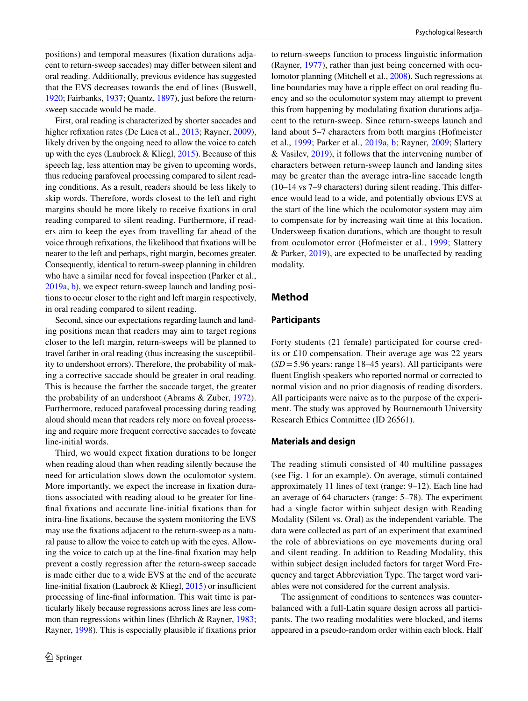positions) and temporal measures (fxation durations adjacent to return-sweep saccades) may difer between silent and oral reading. Additionally, previous evidence has suggested that the EVS decreases towards the end of lines (Buswell, [1920;](#page-9-3) Fairbanks, [1937;](#page-10-25) Quantz, [1897\)](#page-10-26), just before the returnsweep saccade would be made.

First, oral reading is characterized by shorter saccades and higher refixation rates (De Luca et al., [2013;](#page-9-7) Rayner, [2009](#page-10-6)), likely driven by the ongoing need to allow the voice to catch up with the eyes (Laubrock & Kliegl,  $2015$ ). Because of this speech lag, less attention may be given to upcoming words, thus reducing parafoveal processing compared to silent reading conditions. As a result, readers should be less likely to skip words. Therefore, words closest to the left and right margins should be more likely to receive fxations in oral reading compared to silent reading. Furthermore, if readers aim to keep the eyes from travelling far ahead of the voice through refxations, the likelihood that fxations will be nearer to the left and perhaps, right margin, becomes greater. Consequently, identical to return-sweep planning in children who have a similar need for foveal inspection (Parker et al., [2019a,](#page-10-7) [b](#page-10-8)), we expect return-sweep launch and landing positions to occur closer to the right and left margin respectively, in oral reading compared to silent reading.

Second, since our expectations regarding launch and landing positions mean that readers may aim to target regions closer to the left margin, return-sweeps will be planned to travel farther in oral reading (thus increasing the susceptibility to undershoot errors). Therefore, the probability of making a corrective saccade should be greater in oral reading. This is because the farther the saccade target, the greater the probability of an undershoot (Abrams & Zuber, [1972](#page-9-2)). Furthermore, reduced parafoveal processing during reading aloud should mean that readers rely more on foveal processing and require more frequent corrective saccades to foveate line-initial words.

Third, we would expect fxation durations to be longer when reading aloud than when reading silently because the need for articulation slows down the oculomotor system. More importantly, we expect the increase in fxation durations associated with reading aloud to be greater for linefnal fxations and accurate line-initial fxations than for intra-line fxations, because the system monitoring the EVS may use the fxations adjacent to the return-sweep as a natural pause to allow the voice to catch up with the eyes. Allowing the voice to catch up at the line-fnal fxation may help prevent a costly regression after the return-sweep saccade is made either due to a wide EVS at the end of the accurate line-initial fixation (Laubrock & Kliegl,  $2015$ ) or insufficient processing of line-fnal information. This wait time is particularly likely because regressions across lines are less common than regressions within lines (Ehrlich & Rayner, [1983](#page-10-27); Rayner, [1998\)](#page-10-15). This is especially plausible if fxations prior to return-sweeps function to process linguistic information (Rayner, [1977\)](#page-10-9), rather than just being concerned with oculomotor planning (Mitchell et al., [2008\)](#page-10-20). Such regressions at line boundaries may have a ripple effect on oral reading fluency and so the oculomotor system may attempt to prevent this from happening by modulating fxation durations adjacent to the return-sweep. Since return-sweeps launch and land about 5–7 characters from both margins (Hofmeister et al., [1999;](#page-10-16) Parker et al., [2019a](#page-10-7), [b;](#page-10-8) Rayner, [2009;](#page-10-6) Slattery & Vasilev, [2019](#page-11-3)), it follows that the intervening number of characters between return-sweep launch and landing sites may be greater than the average intra-line saccade length (10–14 vs 7–9 characters) during silent reading. This diference would lead to a wide, and potentially obvious EVS at the start of the line which the oculomotor system may aim to compensate for by increasing wait time at this location. Undersweep fxation durations, which are thought to result from oculomotor error (Hofmeister et al., [1999](#page-10-16); Slattery & Parker, [2019\)](#page-11-2), are expected to be unafected by reading modality.

## **Method**

#### **Participants**

Forty students (21 female) participated for course credits or £10 compensation. Their average age was 22 years (*SD*=5.96 years: range 18–45 years). All participants were fuent English speakers who reported normal or corrected to normal vision and no prior diagnosis of reading disorders. All participants were naive as to the purpose of the experiment. The study was approved by Bournemouth University Research Ethics Committee (ID 26561).

#### **Materials and design**

The reading stimuli consisted of 40 multiline passages (see Fig. [1](#page-4-0) for an example). On average, stimuli contained approximately 11 lines of text (range: 9–12). Each line had an average of 64 characters (range: 5–78). The experiment had a single factor within subject design with Reading Modality (Silent vs. Oral) as the independent variable. The data were collected as part of an experiment that examined the role of abbreviations on eye movements during oral and silent reading. In addition to Reading Modality, this within subject design included factors for target Word Frequency and target Abbreviation Type. The target word variables were not considered for the current analysis.

The assignment of conditions to sentences was counterbalanced with a full-Latin square design across all participants. The two reading modalities were blocked, and items appeared in a pseudo-random order within each block. Half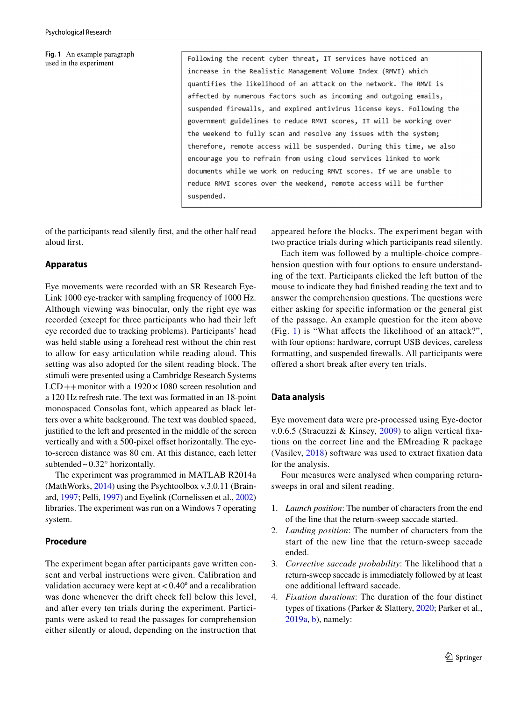#### <span id="page-4-0"></span>**Fig. 1** An example paragraph used in the experiment

Following the recent cyber threat, IT services have noticed an increase in the Realistic Management Volume Index (RMVI) which quantifies the likelihood of an attack on the network. The RMVI is affected by numerous factors such as incoming and outgoing emails, suspended firewalls, and expired antivirus license keys. Following the government guidelines to reduce RMVI scores, IT will be working over the weekend to fully scan and resolve any issues with the system; therefore, remote access will be suspended. During this time, we also encourage you to refrain from using cloud services linked to work documents while we work on reducing RMVI scores. If we are unable to reduce RMVI scores over the weekend, remote access will be further suspended.

of the participants read silently frst, and the other half read aloud frst.

#### **Apparatus**

Eye movements were recorded with an SR Research Eye-Link 1000 eye-tracker with sampling frequency of 1000 Hz. Although viewing was binocular, only the right eye was recorded (except for three participants who had their left eye recorded due to tracking problems). Participants' head was held stable using a forehead rest without the chin rest to allow for easy articulation while reading aloud. This setting was also adopted for the silent reading block. The stimuli were presented using a Cambridge Research Systems  $LCD++$  monitor with a  $1920 \times 1080$  screen resolution and a 120 Hz refresh rate. The text was formatted in an 18-point monospaced Consolas font, which appeared as black letters over a white background. The text was doubled spaced, justifed to the left and presented in the middle of the screen vertically and with a 500-pixel offset horizontally. The eyeto-screen distance was 80 cm. At this distance, each letter subtended  $\sim 0.32^\circ$  horizontally.

The experiment was programmed in MATLAB R2014a (MathWorks, [2014](#page-10-28)) using the Psychtoolbox v.3.0.11 (Brainard, [1997](#page-9-8); Pelli, [1997](#page-10-29)) and Eyelink (Cornelissen et al., [2002\)](#page-9-9) libraries. The experiment was run on a Windows 7 operating system.

#### **Procedure**

The experiment began after participants gave written consent and verbal instructions were given. Calibration and validation accuracy were kept at  $< 0.40^{\circ}$  and a recalibration was done whenever the drift check fell below this level, and after every ten trials during the experiment. Participants were asked to read the passages for comprehension either silently or aloud, depending on the instruction that

appeared before the blocks. The experiment began with two practice trials during which participants read silently.

Each item was followed by a multiple-choice comprehension question with four options to ensure understanding of the text. Participants clicked the left button of the mouse to indicate they had fnished reading the text and to answer the comprehension questions. The questions were either asking for specifc information or the general gist of the passage. An example question for the item above (Fig. [1\)](#page-4-0) is "What afects the likelihood of an attack?", with four options: hardware, corrupt USB devices, careless formatting, and suspended frewalls. All participants were ofered a short break after every ten trials.

## **Data analysis**

Eye movement data were pre-processed using Eye-doctor v.0.6.5 (Stracuzzi & Kinsey, [2009](#page-11-12)) to align vertical fxations on the correct line and the EMreading R package (Vasilev, [2018\)](#page-11-13) software was used to extract fxation data for the analysis.

Four measures were analysed when comparing returnsweeps in oral and silent reading.

- 1. *Launch position*: The number of characters from the end of the line that the return-sweep saccade started.
- 2. *Landing position*: The number of characters from the start of the new line that the return-sweep saccade ended.
- 3. *Corrective saccade probability*: The likelihood that a return-sweep saccade is immediately followed by at least one additional leftward saccade.
- 4. *Fixation durations*: The duration of the four distinct types of fxations (Parker & Slattery, [2020;](#page-10-30) Parker et al., [2019a,](#page-10-7) [b\)](#page-10-8), namely: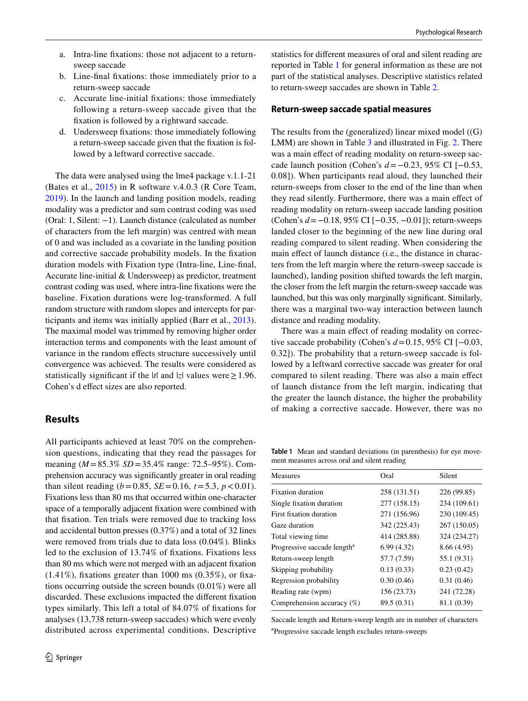- a. Intra-line fxations: those not adjacent to a returnsweep saccade
- b. Line-fnal fxations: those immediately prior to a return-sweep saccade
- c. Accurate line-initial fxations: those immediately following a return-sweep saccade given that the fxation is followed by a rightward saccade.
- d. Undersweep fxations: those immediately following a return-sweep saccade given that the fxation is followed by a leftward corrective saccade.

The data were analysed using the lme4 package v.1.1-21 (Bates et al., [2015](#page-9-10)) in R software v.4.0.3 (R Core Team, [2019](#page-11-14)). In the launch and landing position models, reading modality was a predictor and sum contrast coding was used (Oral: 1, Silent: −1). Launch distance (calculated as number of characters from the left margin) was centred with mean of 0 and was included as a covariate in the landing position and corrective saccade probability models. In the fxation duration models with Fixation type (Intra-line, Line-fnal, Accurate line-initial & Undersweep) as predictor, treatment contrast coding was used, where intra-line fxations were the baseline. Fixation durations were log-transformed. A full random structure with random slopes and intercepts for participants and items was initially applied (Barr et al., [2013](#page-9-11)). The maximal model was trimmed by removing higher order interaction terms and components with the least amount of variance in the random efects structure successively until convergence was achieved. The results were considered as statistically significant if the  $|t|$  and  $|z|$  values were  $\geq 1.96$ . Cohen's d effect sizes are also reported.

## **Results**

All participants achieved at least 70% on the comprehension questions, indicating that they read the passages for meaning (*M* =85.3% *SD*=35.4% range: 72.5–95%). Comprehension accuracy was signifcantly greater in oral reading than silent reading  $(b=0.85, SE=0.16, t=5.3, p<0.01)$ . Fixations less than 80 ms that occurred within one-character space of a temporally adjacent fxation were combined with that fxation. Ten trials were removed due to tracking loss and accidental button presses (0.37%) and a total of 32 lines were removed from trials due to data loss (0.04%). Blinks led to the exclusion of 13.74% of fxations. Fixations less than 80 ms which were not merged with an adjacent fxation  $(1.41\%)$ , fixations greater than 1000 ms  $(0.35\%)$ , or fixations occurring outside the screen bounds (0.01%) were all discarded. These exclusions impacted the diferent fxation types similarly. This left a total of 84.07% of fxations for analyses (13,738 return-sweep saccades) which were evenly distributed across experimental conditions. Descriptive statistics for diferent measures of oral and silent reading are reported in Table [1](#page-5-0) for general information as these are not part of the statistical analyses. Descriptive statistics related to return-sweep saccades are shown in Table [2](#page-6-0).

#### **Return‑sweep saccade spatial measures**

The results from the (generalized) linear mixed model ((G) LMM) are shown in Table [3](#page-6-1) and illustrated in Fig. [2.](#page-6-2) There was a main effect of reading modality on return-sweep saccade launch position (Cohen's *d*=−0.23, 95% CI [−0.53, 0.08]). When participants read aloud, they launched their return-sweeps from closer to the end of the line than when they read silently. Furthermore, there was a main efect of reading modality on return-sweep saccade landing position (Cohen's *d*=−0.18, 95% CI [−0.35, −0.01]); return-sweeps landed closer to the beginning of the new line during oral reading compared to silent reading. When considering the main effect of launch distance (i.e., the distance in characters from the left margin where the return-sweep saccade is launched), landing position shifted towards the left margin, the closer from the left margin the return-sweep saccade was launched, but this was only marginally signifcant. Similarly, there was a marginal two-way interaction between launch distance and reading modality.

There was a main effect of reading modality on corrective saccade probability (Cohen's *d*=0.15, 95% CI [−0.03, 0.32]). The probability that a return-sweep saccade is followed by a leftward corrective saccade was greater for oral compared to silent reading. There was also a main efect of launch distance from the left margin, indicating that the greater the launch distance, the higher the probability of making a corrective saccade. However, there was no

<span id="page-5-0"></span>**Table 1** Mean and standard deviations (in parenthesis) for eye movement measures across oral and silent reading

| Oral         | Silent       |
|--------------|--------------|
| 258 (131.51) | 226 (99.85)  |
| 277 (158.15) | 234 (109.61) |
| 271 (156.96) | 230 (109.45) |
| 342 (225.43) | 267 (150.05) |
| 414 (285.88) | 324 (234.27) |
| 6.99(4.32)   | 8.66 (4.95)  |
| 57.7 (7.59)  | 55.1 (9.31)  |
| 0.13(0.33)   | 0.23(0.42)   |
| 0.30(0.46)   | 0.31(0.46)   |
| 156 (23.73)  | 241 (72.28)  |
| 89.5 (0.31)  | 81.1 (0.39)  |
|              |              |

Saccade length and Return-sweep length are in number of characters a Progressive saccade length excludes return-sweeps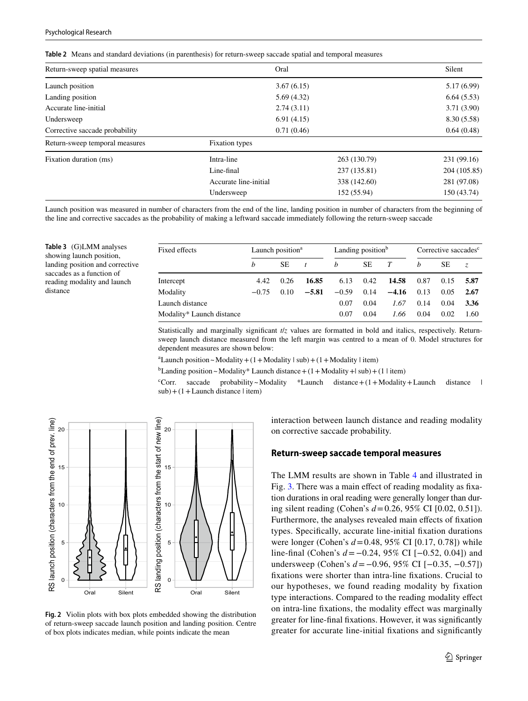<span id="page-6-0"></span>

|  | Table 2 Means and standard deviations (in parenthesis) for return-sweep saccade spatial and temporal measures |  |  |  |  |  |  |
|--|---------------------------------------------------------------------------------------------------------------|--|--|--|--|--|--|
|--|---------------------------------------------------------------------------------------------------------------|--|--|--|--|--|--|

| Return-sweep spatial measures  | Oral                  |              | Silent       |
|--------------------------------|-----------------------|--------------|--------------|
| Launch position                | 3.67(6.15)            |              | 5.17(6.99)   |
| Landing position               | 5.69(4.32)            |              | 6.64(5.53)   |
| Accurate line-initial          | 2.74(3.11)            |              | 3.71(3.90)   |
| Undersweep                     |                       | 6.91(4.15)   |              |
| Corrective saccade probability | 0.71(0.46)            |              | 0.64(0.48)   |
| Return-sweep temporal measures | Fixation types        |              |              |
| Fixation duration (ms)         | Intra-line            | 263 (130.79) | 231 (99.16)  |
|                                | Line-final            | 237 (135.81) | 204 (105.85) |
|                                | Accurate line-initial | 338 (142.60) | 281 (97.08)  |
|                                | Undersweep            | 152 (55.94)  | 150 (43.74)  |

Launch position was measured in number of characters from the end of the line, landing position in number of characters from the beginning of the line and corrective saccades as the probability of making a leftward saccade immediately following the return-sweep saccade

<span id="page-6-1"></span>**Table 3** (G)LMM analyses showing launch position, landing position and corrective saccades as a function of reading modality and launch distance

| Fixed effects             | Launch position <sup>a</sup> |      | Landing position <sup>b</sup> |         |      | Corrective saccades <sup>c</sup> |      |      |      |
|---------------------------|------------------------------|------|-------------------------------|---------|------|----------------------------------|------|------|------|
|                           | h                            | SE   | $\mathbf{t}$                  | h       | SЕ   | T                                | h    | SE   | Z.   |
| Intercept                 | 4.42                         | 0.26 | 16.85                         | 6.13    | 0.42 | 14.58                            | 0.87 | 0.15 | 5.87 |
| Modality                  | $-0.75$                      | 0.10 | $-5.81$                       | $-0.59$ | 0.14 | $-4.16$                          | 0.13 | 0.05 | 2.67 |
| Launch distance           |                              |      |                               | 0.07    | 0.04 | 1.67                             | 0.14 | 0.04 | 3.36 |
| Modality* Launch distance |                              |      |                               | 0.07    | 0.04 | 1.66                             | 0.04 | 0.02 | 1.60 |

Statistically and marginally significant  $t/z$  values are formatted in bold and italics, respectively. Returnsweep launch distance measured from the left margin was centred to a mean of 0. Model structures for dependent measures are shown below:

 $a$ Launch position ~ Modality + (1 + Modality | sub) + (1 + Modality | item)

<sup>b</sup>Landing position ~ Modality\* Launch distance +  $(1 +$ Modality + | sub) +  $(1 \mid$  item)

<sup>c</sup>Corr. saccade probability~Modality \*Launch distance  $+(1+Modality+La$ unch distance |  $sub)$  + (1 + Launch distance | item)



<span id="page-6-2"></span>**Fig. 2** Violin plots with box plots embedded showing the distribution of return-sweep saccade launch position and landing position. Centre of box plots indicates median, while points indicate the mean

interaction between launch distance and reading modality on corrective saccade probability.

## **Return‑sweep saccade temporal measures**

The LMM results are shown in Table [4](#page-7-1) and illustrated in Fig. [3.](#page-7-2) There was a main effect of reading modality as fixation durations in oral reading were generally longer than during silent reading (Cohen's *d*=0.26, 95% CI [0.02, 0.51]). Furthermore, the analyses revealed main effects of fixation types. Specifcally, accurate line-initial fxation durations were longer (Cohen's *d*=0.48, 95% CI [0.17, 0.78]) while line-fnal (Cohen's *d*=−0.24, 95% CI [−0.52, 0.04]) and undersweep (Cohen's *d*=−0.96, 95% CI [−0.35, −0.57]) fxations were shorter than intra-line fxations. Crucial to our hypotheses, we found reading modality by fixation type interactions. Compared to the reading modality efect on intra-line fxations, the modality efect was marginally greater for line-fnal fxations. However, it was signifcantly greater for accurate line-initial fxations and signifcantly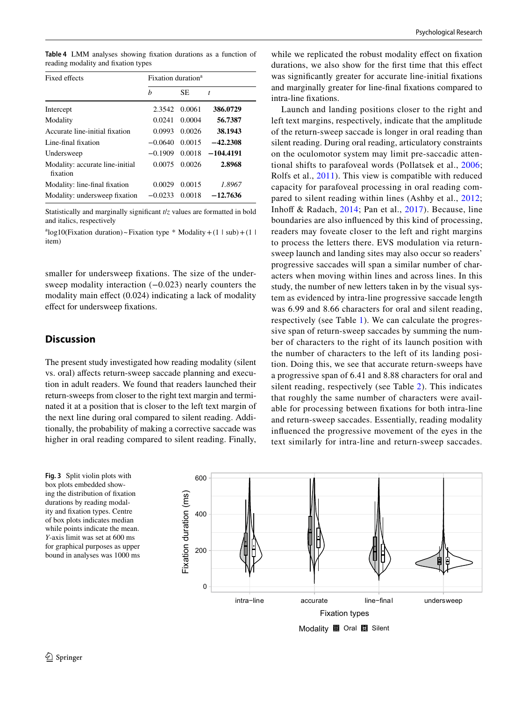<span id="page-7-1"></span>**Table 4** LMM analyses showing fxation durations as a function of reading modality and fxation types

| Fixed effects                               | Fixation duration <sup>a</sup> |        |             |  |  |
|---------------------------------------------|--------------------------------|--------|-------------|--|--|
|                                             | h                              | SE.    | t           |  |  |
| Intercept                                   | 2.3542                         | 0.0061 | 386.0729    |  |  |
| Modality                                    | 0.0241                         | 0.0004 | 56.7387     |  |  |
| Accurate line-initial fixation              | 0.0993                         | 0.0026 | 38.1943     |  |  |
| Line-final fixation                         | $-0.0640$                      | 0.0015 | $-42.2308$  |  |  |
| Undersweep                                  | $-0.1909$                      | 0.0018 | $-104.4191$ |  |  |
| Modality: accurate line-initial<br>fixation | 0.0075                         | 0.0026 | 2.8968      |  |  |
| Modality: line-final fixation               | 0.0029                         | 0.0015 | 1.8967      |  |  |
| Modality: undersweep fixation               | $-0.0233$                      | 0.0018 | $-12.7636$  |  |  |

Statistically and marginally signifcant *t*/*z* values are formatted in bold and italics, respectively

 $a^{a}$ log10(Fixation duration)~Fixation type \* Modality + (1 | sub) + (1 | item)

smaller for undersweep fxations. The size of the undersweep modality interaction (−0.023) nearly counters the modality main effect (0.024) indicating a lack of modality efect for undersweep fxations.

## <span id="page-7-0"></span>**Discussion**

The present study investigated how reading modality (silent vs. oral) afects return-sweep saccade planning and execution in adult readers. We found that readers launched their return-sweeps from closer to the right text margin and terminated it at a position that is closer to the left text margin of the next line during oral compared to silent reading. Additionally, the probability of making a corrective saccade was higher in oral reading compared to silent reading. Finally,

<span id="page-7-2"></span>**Fig. 3** Split violin plots with box plots embedded showing the distribution of fxation durations by reading modality and fxation types. Centre of box plots indicates median while points indicate the mean. *Y*-axis limit was set at 600 ms for graphical purposes as upper bound in analyses was 1000 ms

while we replicated the robust modality effect on fixation durations, we also show for the frst time that this efect was signifcantly greater for accurate line-initial fxations and marginally greater for line-fnal fxations compared to intra-line fxations.

Launch and landing positions closer to the right and left text margins, respectively, indicate that the amplitude of the return-sweep saccade is longer in oral reading than silent reading. During oral reading, articulatory constraints on the oculomotor system may limit pre-saccadic attentional shifts to parafoveal words (Pollatsek et al., [2006](#page-10-13); Rolfs et al., [2011\)](#page-11-6). This view is compatible with reduced capacity for parafoveal processing in oral reading compared to silent reading within lines (Ashby et al., [2012](#page-9-1); Inhoff & Radach,  $2014$ ; Pan et al.,  $2017$ ). Because, line boundaries are also infuenced by this kind of processing, readers may foveate closer to the left and right margins to process the letters there. EVS modulation via returnsweep launch and landing sites may also occur so readers' progressive saccades will span a similar number of characters when moving within lines and across lines. In this study, the number of new letters taken in by the visual system as evidenced by intra-line progressive saccade length was 6.99 and 8.66 characters for oral and silent reading, respectively (see Table [1](#page-5-0)). We can calculate the progressive span of return-sweep saccades by summing the number of characters to the right of its launch position with the number of characters to the left of its landing position. Doing this, we see that accurate return-sweeps have a progressive span of 6.41 and 8.88 characters for oral and silent reading, respectively (see Table [2\)](#page-6-0). This indicates that roughly the same number of characters were available for processing between fxations for both intra-line and return-sweep saccades. Essentially, reading modality infuenced the progressive movement of the eyes in the text similarly for intra-line and return-sweep saccades.

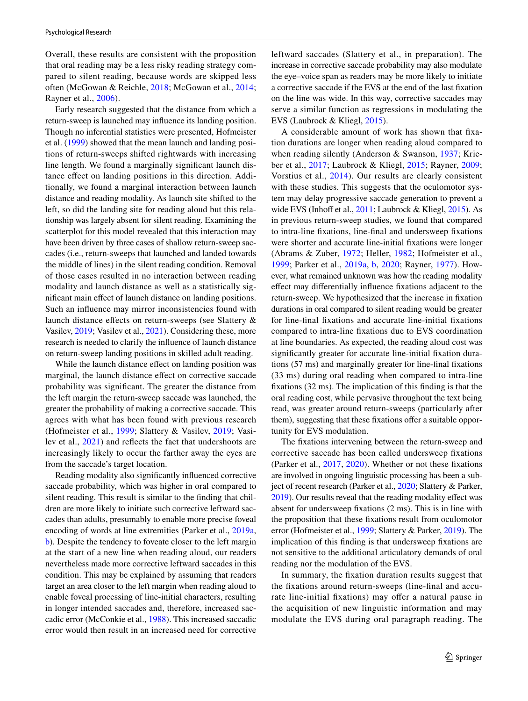Overall, these results are consistent with the proposition that oral reading may be a less risky reading strategy compared to silent reading, because words are skipped less often (McGowan & Reichle, [2018](#page-10-32); McGowan et al., [2014](#page-10-33); Rayner et al., [2006\)](#page-10-34).

Early research suggested that the distance from which a return-sweep is launched may infuence its landing position. Though no inferential statistics were presented, Hofmeister et al. ([1999](#page-10-16)) showed that the mean launch and landing positions of return-sweeps shifted rightwards with increasing line length. We found a marginally signifcant launch distance efect on landing positions in this direction. Additionally, we found a marginal interaction between launch distance and reading modality. As launch site shifted to the left, so did the landing site for reading aloud but this relationship was largely absent for silent reading. Examining the scatterplot for this model revealed that this interaction may have been driven by three cases of shallow return-sweep saccades (i.e., return-sweeps that launched and landed towards the middle of lines) in the silent reading condition. Removal of those cases resulted in no interaction between reading modality and launch distance as well as a statistically signifcant main efect of launch distance on landing positions. Such an infuence may mirror inconsistencies found with launch distance effects on return-sweeps (see Slattery & Vasilev, [2019](#page-11-3); Vasilev et al., [2021](#page-11-11)). Considering these, more research is needed to clarify the infuence of launch distance on return-sweep landing positions in skilled adult reading.

While the launch distance effect on landing position was marginal, the launch distance efect on corrective saccade probability was signifcant. The greater the distance from the left margin the return-sweep saccade was launched, the greater the probability of making a corrective saccade. This agrees with what has been found with previous research (Hofmeister et al., [1999;](#page-10-16) Slattery & Vasilev, [2019](#page-11-3); Vasilev et al., [2021](#page-11-11)) and refects the fact that undershoots are increasingly likely to occur the farther away the eyes are from the saccade's target location.

Reading modality also signifcantly infuenced corrective saccade probability, which was higher in oral compared to silent reading. This result is similar to the fnding that children are more likely to initiate such corrective leftward saccades than adults, presumably to enable more precise foveal encoding of words at line extremities (Parker et al., [2019a,](#page-10-7) [b](#page-10-8)). Despite the tendency to foveate closer to the left margin at the start of a new line when reading aloud, our readers nevertheless made more corrective leftward saccades in this condition. This may be explained by assuming that readers target an area closer to the left margin when reading aloud to enable foveal processing of line-initial characters, resulting in longer intended saccades and, therefore, increased saccadic error (McConkie et al., [1988](#page-10-17)). This increased saccadic error would then result in an increased need for corrective

leftward saccades (Slattery et al., in preparation). The increase in corrective saccade probability may also modulate the eye–voice span as readers may be more likely to initiate a corrective saccade if the EVS at the end of the last fxation on the line was wide. In this way, corrective saccades may serve a similar function as regressions in modulating the EVS (Laubrock & Kliegl, [2015](#page-10-0)).

A considerable amount of work has shown that fxation durations are longer when reading aloud compared to when reading silently (Anderson & Swanson, [1937;](#page-9-0) Krieber et al., [2017](#page-10-5); Laubrock & Kliegl, [2015](#page-10-0); Rayner, [2009](#page-10-6); Vorstius et al., [2014](#page-11-0)). Our results are clearly consistent with these studies. This suggests that the oculomotor system may delay progressive saccade generation to prevent a wide EVS (Inhoff et al.,  $2011$ ; Laubrock & Kliegl,  $2015$ ). As in previous return-sweep studies, we found that compared to intra-line fxations, line-fnal and undersweep fxations were shorter and accurate line-initial fxations were longer (Abrams & Zuber, [1972](#page-9-2); Heller, [1982](#page-10-21); Hofmeister et al., [1999;](#page-10-16) Parker et al., [2019a,](#page-10-7) [b,](#page-10-8) [2020;](#page-10-23) Rayner, [1977](#page-10-9)). However, what remained unknown was how the reading modality efect may diferentially infuence fxations adjacent to the return-sweep. We hypothesized that the increase in fxation durations in oral compared to silent reading would be greater for line-fnal fxations and accurate line-initial fxations compared to intra-line fxations due to EVS coordination at line boundaries. As expected, the reading aloud cost was signifcantly greater for accurate line-initial fxation durations (57 ms) and marginally greater for line-fnal fxations (33 ms) during oral reading when compared to intra-line fxations (32 ms). The implication of this fnding is that the oral reading cost, while pervasive throughout the text being read, was greater around return-sweeps (particularly after them), suggesting that these fixations offer a suitable opportunity for EVS modulation.

The fxations intervening between the return-sweep and corrective saccade has been called undersweep fxations (Parker et al., [2017](#page-10-22), [2020\)](#page-10-23). Whether or not these fxations are involved in ongoing linguistic processing has been a subject of recent research (Parker et al., [2020;](#page-10-23) Slattery & Parker, [2019\)](#page-11-2). Our results reveal that the reading modality efect was absent for undersweep fxations (2 ms). This is in line with the proposition that these fxations result from oculomotor error (Hofmeister et al., [1999](#page-10-16); Slattery & Parker, [2019\)](#page-11-2). The implication of this fnding is that undersweep fxations are not sensitive to the additional articulatory demands of oral reading nor the modulation of the EVS.

In summary, the fxation duration results suggest that the fxations around return-sweeps (line-fnal and accurate line-initial fixations) may offer a natural pause in the acquisition of new linguistic information and may modulate the EVS during oral paragraph reading. The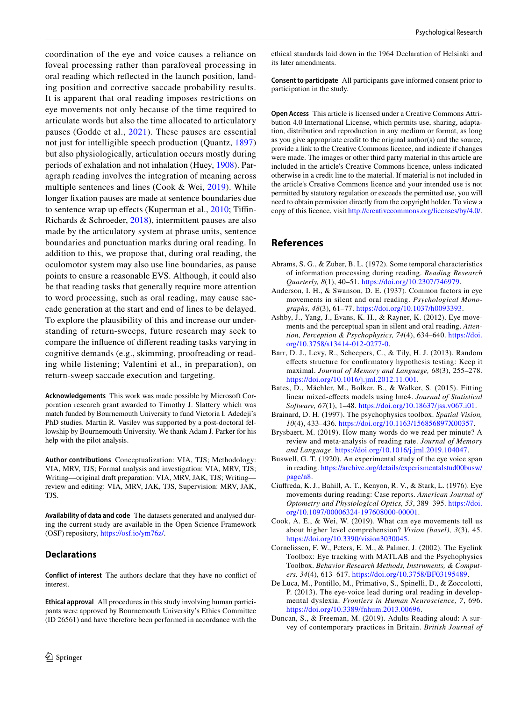coordination of the eye and voice causes a reliance on foveal processing rather than parafoveal processing in oral reading which refected in the launch position, landing position and corrective saccade probability results. It is apparent that oral reading imposes restrictions on eye movements not only because of the time required to articulate words but also the time allocated to articulatory pauses (Godde et al., [2021](#page-10-35)). These pauses are essential not just for intelligible speech production (Quantz, [1897\)](#page-10-26) but also physiologically, articulation occurs mostly during periods of exhalation and not inhalation (Huey, [1908](#page-10-36)). Paragraph reading involves the integration of meaning across multiple sentences and lines (Cook & Wei, [2019\)](#page-9-12). While longer fxation pauses are made at sentence boundaries due to sentence wrap up efects (Kuperman et al., [2010](#page-10-19); Tifn-Richards & Schroeder, [2018\)](#page-11-15), intermittent pauses are also made by the articulatory system at phrase units, sentence boundaries and punctuation marks during oral reading. In addition to this, we propose that, during oral reading, the oculomotor system may also use line boundaries, as pause points to ensure a reasonable EVS. Although, it could also be that reading tasks that generally require more attention to word processing, such as oral reading, may cause saccade generation at the start and end of lines to be delayed. To explore the plausibility of this and increase our understanding of return-sweeps, future research may seek to compare the infuence of diferent reading tasks varying in cognitive demands (e.g., skimming, proofreading or reading while listening; Valentini et al., in preparation), on return-sweep saccade execution and targeting.

**Acknowledgements** This work was made possible by Microsoft Corporation research grant awarded to Timothy J. Slattery which was match funded by Bournemouth University to fund Victoria I. Adedeji's PhD studies. Martin R. Vasilev was supported by a post-doctoral fellowship by Bournemouth University. We thank Adam J. Parker for his help with the pilot analysis.

**Author contributions** Conceptualization: VIA, TJS; Methodology: VIA, MRV, TJS; Formal analysis and investigation: VIA, MRV, TJS; Writing—original draft preparation: VIA, MRV, JAK, TJS; Writing review and editing: VIA, MRV, JAK, TJS, Supervision: MRV, JAK, TJS.

**Availability of data and code** The datasets generated and analysed during the current study are available in the Open Science Framework (OSF) repository, [https://osf.io/ym76z/.](https://osf.io/ym76z/)

### **Declarations**

**Conflict of interest** The authors declare that they have no confict of interest.

**Ethical approval** All procedures in this study involving human participants were approved by Bournemouth University's Ethics Committee (ID 26561) and have therefore been performed in accordance with the ethical standards laid down in the 1964 Declaration of Helsinki and its later amendments.

**Consent to participate** All participants gave informed consent prior to participation in the study.

**Open Access** This article is licensed under a Creative Commons Attribution 4.0 International License, which permits use, sharing, adaptation, distribution and reproduction in any medium or format, as long as you give appropriate credit to the original author(s) and the source, provide a link to the Creative Commons licence, and indicate if changes were made. The images or other third party material in this article are included in the article's Creative Commons licence, unless indicated otherwise in a credit line to the material. If material is not included in the article's Creative Commons licence and your intended use is not permitted by statutory regulation or exceeds the permitted use, you will need to obtain permission directly from the copyright holder. To view a copy of this licence, visit<http://creativecommons.org/licenses/by/4.0/>.

## **References**

- <span id="page-9-2"></span>Abrams, S. G., & Zuber, B. L. (1972). Some temporal characteristics of information processing during reading. *Reading Research Quarterly, 8*(1), 40–51. [https://doi.org/10.2307/746979.](https://doi.org/10.2307/746979)
- <span id="page-9-0"></span>Anderson, I. H., & Swanson, D. E. (1937). Common factors in eye movements in silent and oral reading. *Psychological Monographs, 48*(3), 61–77. <https://doi.org/10.1037/h0093393>.
- <span id="page-9-1"></span>Ashby, J., Yang, J., Evans, K. H., & Rayner, K. (2012). Eye movements and the perceptual span in silent and oral reading. *Attention, Perception & Psychophysics, 74*(4), 634–640. [https://doi.](https://doi.org/10.3758/s13414-012-0277-0) [org/10.3758/s13414-012-0277-0](https://doi.org/10.3758/s13414-012-0277-0).
- <span id="page-9-11"></span>Barr, D. J., Levy, R., Scheepers, C., & Tily, H. J. (2013). Random efects structure for confrmatory hypothesis testing: Keep it maximal. *Journal of Memory and Language, 68*(3), 255–278. <https://doi.org/10.1016/j.jml.2012.11.001>.
- <span id="page-9-10"></span>Bates, D., Mächler, M., Bolker, B., & Walker, S. (2015). Fitting linear mixed-efects models using lme4. *Journal of Statistical Software, 67*(1), 1–48. <https://doi.org/10.18637/jss.v067.i01>.
- <span id="page-9-8"></span>Brainard, D. H. (1997). The psychophysics toolbox. *Spatial Vision, 10*(4), 433–436.<https://doi.org/10.1163/156856897X00357>.
- <span id="page-9-5"></span>Brysbaert, M. (2019). How many words do we read per minute? A review and meta-analysis of reading rate. *Journal of Memory and Language*.<https://doi.org/10.1016/j.jml.2019.104047>.
- <span id="page-9-3"></span>Buswell, G. T. (1920). An experimental study of the eye voice span in reading. [https://archive.org/details/experismentalstud00busw/](https://archive.org/details/experismentalstud00busw/page/n8) [page/n8](https://archive.org/details/experismentalstud00busw/page/n8).
- <span id="page-9-6"></span>Ciufreda, K. J., Bahill, A. T., Kenyon, R. V., & Stark, L. (1976). Eye movements during reading: Case reports. *American Journal of Optometry and Physiological Optics, 53*, 389–395. [https://doi.](https://doi.org/10.1097/00006324-197608000-00001) [org/10.1097/00006324-197608000-00001.](https://doi.org/10.1097/00006324-197608000-00001)
- <span id="page-9-12"></span>Cook, A. E., & Wei, W. (2019). What can eye movements tell us about higher level comprehension? *Vision (basel), 3*(3), 45. [https://doi.org/10.3390/vision3030045.](https://doi.org/10.3390/vision3030045)
- <span id="page-9-9"></span>Cornelissen, F. W., Peters, E. M., & Palmer, J. (2002). The Eyelink Toolbox: Eye tracking with MATLAB and the Psychophysics Toolbox. *Behavior Research Methods, Instruments, & Computers, 34*(4), 613–617.<https://doi.org/10.3758/BF03195489>.
- <span id="page-9-7"></span>De Luca, M., Pontillo, M., Primativo, S., Spinelli, D., & Zoccolotti, P. (2013). The eye-voice lead during oral reading in developmental dyslexia. *Frontiers in Human Neuroscience, 7*, 696. <https://doi.org/10.3389/fnhum.2013.00696>.
- <span id="page-9-4"></span>Duncan, S., & Freeman, M. (2019). Adults Reading aloud: A survey of contemporary practices in Britain. *British Journal of*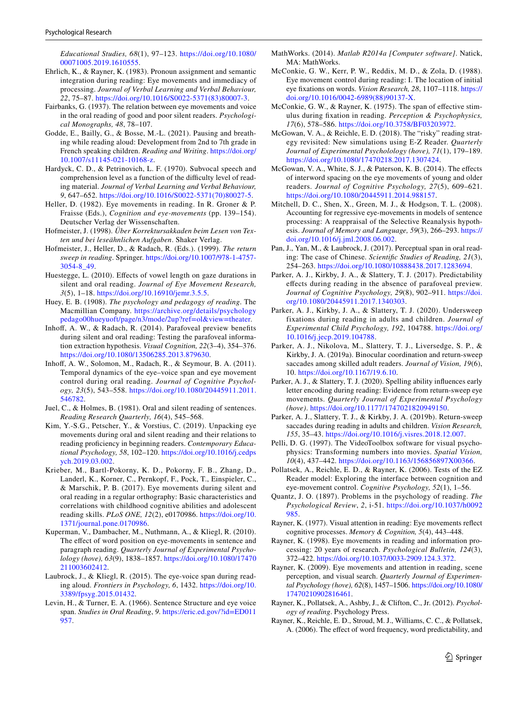*Educational Studies, 68*(1), 97–123. [https://doi.org/10.1080/](https://doi.org/10.1080/00071005.2019.1610555) [00071005.2019.1610555](https://doi.org/10.1080/00071005.2019.1610555).

- <span id="page-10-27"></span>Ehrlich, K., & Rayner, K. (1983). Pronoun assignment and semantic integration during reading: Eye movements and immediacy of processing. *Journal of Verbal Learning and Verbal Behaviour, 22*, 75–87. [https://doi.org/10.1016/S0022-5371\(83\)80007-3](https://doi.org/10.1016/S0022-5371(83)80007-3).
- <span id="page-10-25"></span>Fairbanks, G. (1937). The relation between eye movements and voice in the oral reading of good and poor silent readers. *Psychological Monographs, 48*, 78–107.
- <span id="page-10-35"></span>Godde, E., Bailly, G., & Bosse, M.-L. (2021). Pausing and breathing while reading aloud: Development from 2nd to 7th grade in French speaking children. *Reading and Writing*. [https://doi.org/](https://doi.org/10.1007/s11145-021-10168-z) [10.1007/s11145-021-10168-z](https://doi.org/10.1007/s11145-021-10168-z).
- <span id="page-10-10"></span>Hardyck, C. D., & Petrinovich, L. F. (1970). Subvocal speech and comprehension level as a function of the difficulty level of reading material. *Journal of Verbal Learning and Verbal Behaviour, 9*, 647–652. [https://doi.org/10.1016/S0022-5371\(70\)80027-5.](https://doi.org/10.1016/S0022-5371(70)80027-5)
- <span id="page-10-21"></span>Heller, D. (1982). Eye movements in reading. In R. Groner & P. Fraisse (Eds.), *Cognition and eye-movements* (pp. 139–154). Deutscher Verlag der Wissenschaften.
- <span id="page-10-18"></span>Hofmeister, J. (1998). *Über Korrektursakkaden beim Lesen von Texten und bei leseähnlichen Aufgaben*. Shaker Verlag.
- <span id="page-10-16"></span>Hofmeister, J., Heller, D., & Radach, R. (Eds.). (1999). *The return sweep in reading*. Springer. [https://doi.org/10.1007/978-1-4757-](https://doi.org/10.1007/978-1-4757-3054-8_49) [3054-8\\_49](https://doi.org/10.1007/978-1-4757-3054-8_49).
- <span id="page-10-12"></span>Huestegge, L. (2010). Efects of vowel length on gaze durations in silent and oral reading. *Journal of Eye Movement Research, 3*(5), 1–18. [https://doi.org/10.16910/jemr.3.5.5.](https://doi.org/10.16910/jemr.3.5.5)
- <span id="page-10-36"></span>Huey, E. B. (1908). *The psychology and pedagogy of reading*. The Macmillian Company. [https://archive.org/details/psychology](https://archive.org/details/psychologypedago00hueyuoft/page/n3/mode/2up?ref=ol&view=theater) [pedago00hueyuoft/page/n3/mode/2up?ref=ol&view=theater](https://archive.org/details/psychologypedago00hueyuoft/page/n3/mode/2up?ref=ol&view=theater).
- <span id="page-10-3"></span>Inhoff, A. W., & Radach, R. (2014). Parafoveal preview benefits during silent and oral reading: Testing the parafoveal information extraction hypothesis. *Visual Cognition, 22*(3–4), 354–376. <https://doi.org/10.1080/13506285.2013.879630>.
- <span id="page-10-11"></span>Inhof, A. W., Solomon, M., Radach, R., & Seymour, B. A. (2011). Temporal dynamics of the eye–voice span and eye movement control during oral reading. *Journal of Cognitive Psychology, 23*(5), 543–558. [https://doi.org/10.1080/20445911.2011.](https://doi.org/10.1080/20445911.2011.546782) [546782.](https://doi.org/10.1080/20445911.2011.546782)
- <span id="page-10-1"></span>Juel, C., & Holmes, B. (1981). Oral and silent reading of sentences. *Reading Research Quarterly, 16*(4), 545–568.
- <span id="page-10-4"></span>Kim, Y.-S.G., Petscher, Y., & Vorstius, C. (2019). Unpacking eye movements during oral and silent reading and their relations to reading profciency in beginning readers. *Contemporary Educational Psychology, 58*, 102–120. [https://doi.org/10.1016/j.cedps](https://doi.org/10.1016/j.cedpsych.2019.03.002) [ych.2019.03.002](https://doi.org/10.1016/j.cedpsych.2019.03.002).
- <span id="page-10-5"></span>Krieber, M., Bartl-Pokorny, K. D., Pokorny, F. B., Zhang, D., Landerl, K., Korner, C., Pernkopf, F., Pock, T., Einspieler, C., & Marschik, P. B. (2017). Eye movements during silent and oral reading in a regular orthography: Basic characteristics and correlations with childhood cognitive abilities and adolescent reading skills. *PLoS ONE, 12*(2), e0170986. [https://doi.org/10.](https://doi.org/10.1371/journal.pone.0170986) [1371/journal.pone.0170986](https://doi.org/10.1371/journal.pone.0170986).
- <span id="page-10-19"></span>Kuperman, V., Dambacher, M., Nuthmann, A., & Kliegl, R. (2010). The effect of word position on eye-movements in sentence and paragraph reading. *Quarterly Journal of Experimental Psycholology (hove), 63*(9), 1838–1857. [https://doi.org/10.1080/17470](https://doi.org/10.1080/17470211003602412) [211003602412.](https://doi.org/10.1080/17470211003602412)
- <span id="page-10-0"></span>Laubrock, J., & Kliegl, R. (2015). The eye-voice span during reading aloud. *Frontiers in Psychology, 6*, 1432. [https://doi.org/10.](https://doi.org/10.3389/fpsyg.2015.01432) [3389/fpsyg.2015.01432.](https://doi.org/10.3389/fpsyg.2015.01432)
- <span id="page-10-24"></span>Levin, H., & Turner, E. A. (1966). Sentence Structure and eye voice span. *Studies in Oral Reading*, *9*. [https://eric.ed.gov/?id=ED011](https://eric.ed.gov/?id=ED011957) [957](https://eric.ed.gov/?id=ED011957).
- <span id="page-10-28"></span>MathWorks. (2014). *Matlab R2014a [Computer software]*. Natick, MA: MathWorks.
- <span id="page-10-17"></span>McConkie, G. W., Kerr, P. W., Reddix, M. D., & Zola, D. (1988). Eye movement control during reading: I. The location of initial eye fxations on words. *Vision Research, 28*, 1107–1118. [https://](https://doi.org/10.1016/0042-6989(88)90137-X) [doi.org/10.1016/0042-6989\(88\)90137-X.](https://doi.org/10.1016/0042-6989(88)90137-X)
- <span id="page-10-14"></span>McConkie, G. W., & Rayner, K. (1975). The span of effective stimulus during fxation in reading. *Perception & Psychophysics, 17*(6), 578–586.<https://doi.org/10.3758/BF03203972>.
- <span id="page-10-32"></span>McGowan, V. A., & Reichle, E. D. (2018). The "risky" reading strategy revisited: New simulations using E-Z Reader. *Quarterly Journal of Experimental Psycholology (hove), 71*(1), 179–189. [https://doi.org/10.1080/17470218.2017.1307424.](https://doi.org/10.1080/17470218.2017.1307424)
- <span id="page-10-33"></span>McGowan, V. A., White, S. J., & Paterson, K. B. (2014). The effects of interword spacing on the eye movements of young and older readers. *Journal of Cognitive Psychology, 27*(5), 609–621. <https://doi.org/10.1080/20445911.2014.988157>.
- <span id="page-10-20"></span>Mitchell, D. C., Shen, X., Green, M. J., & Hodgson, T. L. (2008). Accounting for regressive eye-movements in models of sentence processing: A reappraisal of the Selective Reanalysis hypothesis. *Journal of Memory and Language, 59*(3), 266–293. [https://](https://doi.org/10.1016/j.jml.2008.06.002) [doi.org/10.1016/j.jml.2008.06.002](https://doi.org/10.1016/j.jml.2008.06.002).
- <span id="page-10-31"></span>Pan, J., Yan, M., & Laubrock, J. (2017). Perceptual span in oral reading: The case of Chinese. *Scientifc Studies of Reading, 21*(3), 254–263. [https://doi.org/10.1080/10888438.2017.1283694.](https://doi.org/10.1080/10888438.2017.1283694)
- <span id="page-10-22"></span>Parker, A. J., Kirkby, J. A., & Slattery, T. J. (2017). Predictability efects during reading in the absence of parafoveal preview. *Journal of Cognitive Psychology, 29*(8), 902–911. [https://doi.](https://doi.org/10.1080/20445911.2017.1340303) [org/10.1080/20445911.2017.1340303](https://doi.org/10.1080/20445911.2017.1340303).
- <span id="page-10-23"></span>Parker, A. J., Kirkby, J. A., & Slattery, T. J. (2020). Undersweep fixations during reading in adults and children. *Journal of Experimental Child Psychology, 192*, 104788. [https://doi.org/](https://doi.org/10.1016/j.jecp.2019.104788) [10.1016/j.jecp.2019.104788.](https://doi.org/10.1016/j.jecp.2019.104788)
- <span id="page-10-7"></span>Parker, A. J., Nikolova, M., Slattery, T. J., Liversedge, S. P., & Kirkby, J. A. (2019a). Binocular coordination and return-sweep saccades among skilled adult readers. *Journal of Vision, 19*(6), 10.<https://doi.org/10.1167/19.6.10>.
- <span id="page-10-30"></span>Parker, A. J., & Slattery, T. J. (2020). Spelling ability infuences early letter encoding during reading: Evidence from return-sweep eye movements. *Quarterly Journal of Experimental Psychology (hove)*. [https://doi.org/10.1177/1747021820949150.](https://doi.org/10.1177/1747021820949150)
- <span id="page-10-8"></span>Parker, A. J., Slattery, T. J., & Kirkby, J. A. (2019b). Return-sweep saccades during reading in adults and children. *Vision Research, 155*, 35–43. [https://doi.org/10.1016/j.visres.2018.12.007.](https://doi.org/10.1016/j.visres.2018.12.007)
- <span id="page-10-29"></span>Pelli, D. G. (1997). The VideoToolbox software for visual psychophysics: Transforming numbers into movies. *Spatial Vision, 10*(4), 437–442.<https://doi.org/10.1163/156856897X00366>.
- <span id="page-10-13"></span>Pollatsek, A., Reichle, E. D., & Rayner, K. (2006). Tests of the EZ Reader model: Exploring the interface between cognition and eye-movement control. *Cognitive Psychology, 52*(1), 1–56.
- <span id="page-10-26"></span>Quantz, J. O. (1897). Problems in the psychology of reading. *The Psychological Review*, *2*, i-51. [https://doi.org/10.1037/h0092](https://doi.org/10.1037/h0092985) [985](https://doi.org/10.1037/h0092985).
- <span id="page-10-9"></span>Rayner, K. (1977). Visual attention in reading: Eye movements refect cognitive processes. *Memory & Cognition, 5*(4), 443–448.
- <span id="page-10-15"></span>Rayner, K. (1998). Eye movements in reading and information processing: 20 years of research. *Psychological Bulletin, 124*(3), 372–422.<https://doi.org/10.1037/0033-2909.124.3.372>.
- <span id="page-10-6"></span>Rayner, K. (2009). Eye movements and attention in reading, scene perception, and visual search. *Quarterly Journal of Experimental Psychology (hove), 62*(8), 1457–1506. [https://doi.org/10.1080/](https://doi.org/10.1080/17470210902816461) [17470210902816461](https://doi.org/10.1080/17470210902816461).
- <span id="page-10-2"></span>Rayner, K., Pollatsek, A., Ashby, J., & Clifton, C., Jr. (2012). *Psychology of reading*. Psychology Press.
- <span id="page-10-34"></span>Rayner, K., Reichle, E. D., Stroud, M. J., Williams, C. C., & Pollatsek, A. (2006). The effect of word frequency, word predictability, and